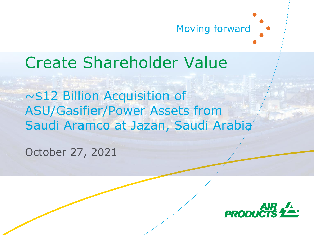

## Create Shareholder Value

~\$12 Billion Acquisition of ASU/Gasifier/Power Assets from Saudi Aramco at Jazan, Saudi Arabia

October 27, 2021

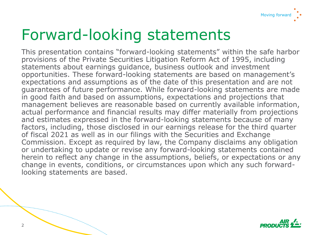

## Forward-looking statements

This presentation contains "forward-looking statements" within the safe harbor provisions of the Private Securities Litigation Reform Act of 1995, including statements about earnings guidance, business outlook and investment opportunities. These forward-looking statements are based on management's expectations and assumptions as of the date of this presentation and are not guarantees of future performance. While forward-looking statements are made in good faith and based on assumptions, expectations and projections that management believes are reasonable based on currently available information, actual performance and financial results may differ materially from projections and estimates expressed in the forward-looking statements because of many factors, including, those disclosed in our earnings release for the third quarter of fiscal 2021 as well as in our filings with the Securities and Exchange Commission. Except as required by law, the Company disclaims any obligation or undertaking to update or revise any forward-looking statements contained herein to reflect any change in the assumptions, beliefs, or expectations or any change in events, conditions, or circumstances upon which any such forwardlooking statements are based.



a a construction de la construction de la construction de la construction de la construction de la construction de la construction de la construction de la construction de la construction de la construction de la construct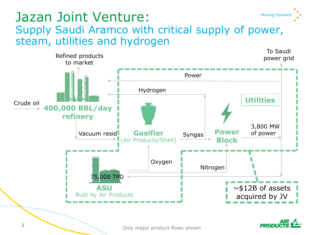### Jazan Joint Venture: Moving forward Supply Saudi Aramco with critical supply of power, steam, utilities and hydrogen

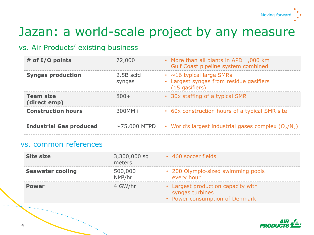

### Jazan: a world-scale project by any measure

#### vs. Air Products' existing business

| # of I/O points                  | 72,000              | • More than all plants in APD 1,000 km<br>Gulf Coast pipeline system combined                 |
|----------------------------------|---------------------|-----------------------------------------------------------------------------------------------|
| <b>Syngas production</b>         | 2.5B scfd<br>syngas | $\cdot$ ~16 typical large SMRs<br>• Largest syngas from residue gasifiers<br>$(15$ gasifiers) |
| <b>Team size</b><br>(direct emp) | $800+$              | • 30x staffing of a typical SMR                                                               |
| <b>Construction hours</b>        | $300MM+$            | • 60x construction hours of a typical SMR site                                                |
| <b>Industrial Gas produced</b>   | $\sim$ 75,000 MTPD  | • World's largest industrial gases complex $(O_2/N_2)$                                        |

#### vs. common references

| <b>Site size</b>        | 3,300,000 sq<br>meters | • 460 soccer fields                                                                     |
|-------------------------|------------------------|-----------------------------------------------------------------------------------------|
| <b>Seawater cooling</b> | 500,000<br>$NM^3/hr$   | • 200 Olympic-sized swimming pools<br>every hour                                        |
| <b>Power</b>            | 4 GW/hr                | • Largest production capacity with<br>syngas turbines<br>• Power consumption of Denmark |

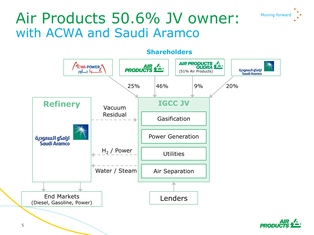

### Air Products 50.6% JV owner: Moving forward with ACWA and Saudi Aramco



#### **Shareholders**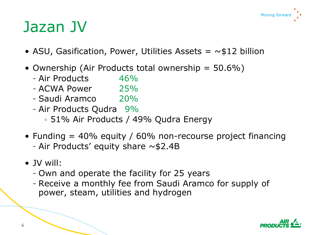

## Jazan JV

- ASU, Gasification, Power, Utilities Assets  $= \sim $12$  billion
- Ownership (Air Products total ownership = 50.6%)
	- Air Products 46%
	- ACWA Power 25%
	- Saudi Aramco 20%
	- Air Products Qudra 9%
		- 51% Air Products / 49% Qudra Energy
- Funding  $= 40\%$  equity / 60% non-recourse project financing - Air Products' equity share  $\sim$  \$2.4B
- JV will:
	- Own and operate the facility for 25 years
	- Receive a monthly fee from Saudi Aramco for supply of power, steam, utilities and hydrogen

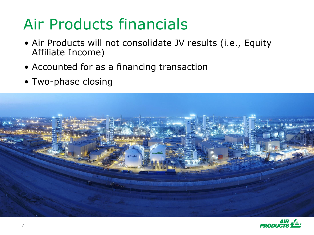# Air Products financials

- Air Products will not consolidate JV results (i.e., Equity Affiliate Income)
- Accounted for as a financing transaction
- Two-phase closing



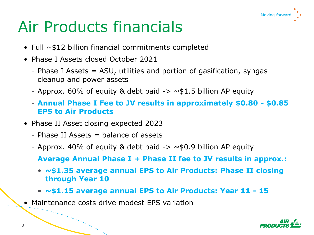## Moving forward

# Air Products financials

- Full  $\sim$  \$12 billion financial commitments completed
- Phase I Assets closed October 2021
	- Phase I Assets = ASU, utilities and portion of gasification, syngas cleanup and power assets
	- Approx. 60% of equity & debt paid  $\rightarrow \sim$  \$1.5 billion AP equity
	- **Annual Phase I Fee to JV results in approximately \$0.80 - \$0.85 EPS to Air Products**
- Phase II Asset closing expected 2023
	- $-$  Phase II Assets  $=$  balance of assets
	- Approx. 40% of equity & debt paid  $\rightarrow \sim$  \$0.9 billion AP equity
	- **Average Annual Phase I + Phase II fee to JV results in approx.:**
		- **~\$1.35 average annual EPS to Air Products: Phase II closing through Year 10**
		- **~\$1.15 average annual EPS to Air Products: Year 11 - 15**
- Maintenance costs drive modest EPS variation

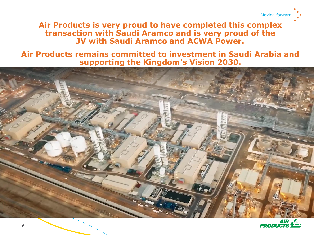

**Air Products is very proud to have completed this complex transaction with Saudi Aramco and is very proud of the JV with Saudi Aramco and ACWA Power.**

**Air Products remains committed to investment in Saudi Arabia and supporting the Kingdom's Vision 2030.**